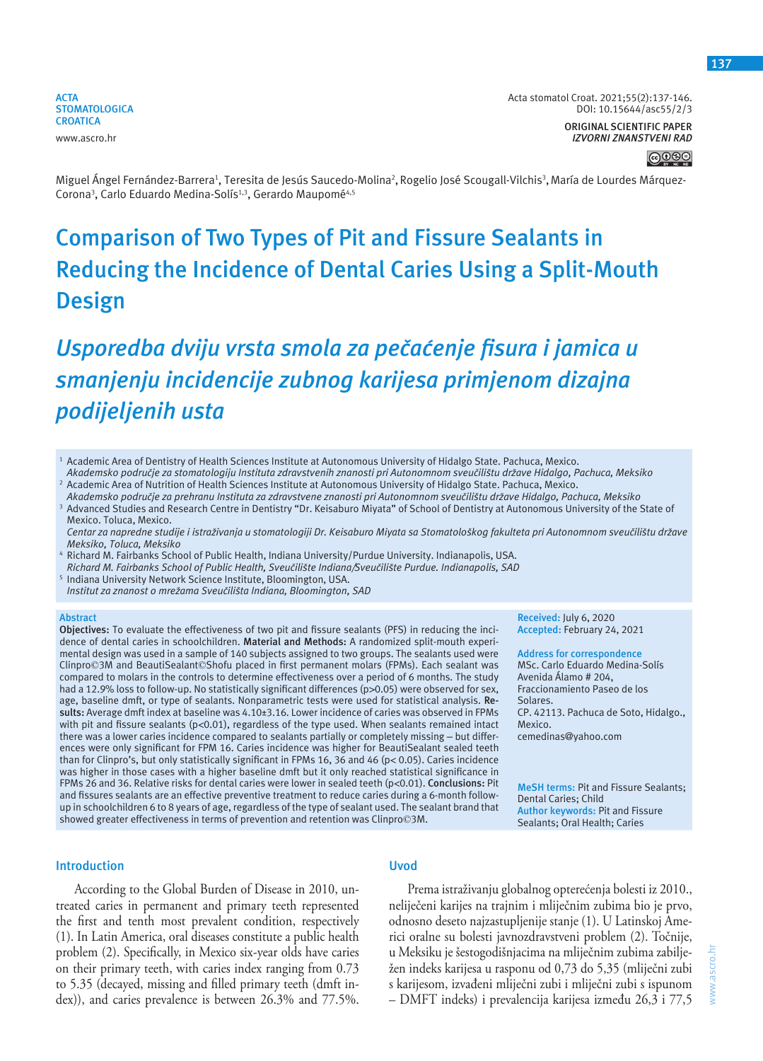**ORIGINAL SCIENTIFIC PAPER** *IZVORNI ZNANSTVENI RAD* **137**

Miguel Ángel Fernández-Barrera<sup>1</sup>, Teresita de Jesús Saucedo-Molina<sup>2</sup>, Rogelio José Scougall-Vilchis<sup>3</sup>, María de Lourdes Márquez-Corona<sup>3</sup>, Carlo Eduardo Medina-Solís<sup>1,3</sup>, Gerardo Maupomé<sup>4,5</sup>

# **Comparison of Two Types of Pit and Fissure Sealants in Reducing the Incidence of Dental Caries Using a Split-Mouth Design**

# *Usporedba dviju vrsta smola za pečaćenje fisura i jamica u smanjenju incidencije zubnog karijesa primjenom dizajna podijeljenih usta*

- <sup>1</sup> Academic Area of Dentistry of Health Sciences Institute at Autonomous University of Hidalgo State. Pachuca, Mexico. Akademsko područje za stomatologiju Instituta zdravstvenih znanosti pri Autonomnom sveučilištu države Hidalgo, Pachuca, Meksiko
- 2 Academic Area of Nutrition of Health Sciences Institute at Autonomous University of Hidalgo State. Pachuca, Mexico.
- Akademsko područje za prehranu Instituta za zdravstvene znanosti pri Autonomnom sveučilištu države Hidalgo, Pachuca, Meksiko 3 Advanced Studies and Research Centre in Dentistry "Dr. Keisaburo Miyata" of School of Dentistry at Autonomous University of the State of Mexico. Toluca, Mexico.
- Centar za napredne studije i istraživanja u stomatologiji Dr. Keisaburo Miyata sa Stomatološkog fakulteta pri Autonomnom sveučilištu države *Meksiko, Toluca, Meksiko*
- <sup>4</sup> Richard M. Fairbanks School of Public Health, Indiana University/Purdue University. Indianapolis, USA.  *Richard M. Fairbanks School of Public Health, Sveučilište Indiana/Sveučilište Purdue. Indianapolis, SAD*
- <sup>5</sup>Indiana University Network Science Institute, Bloomington, USA.  *Institut za znanost o mrežama Sveučilišta Indiana, Bloomington, SAD*

#### **Abstract**

**Objectives:** To evaluate the effectiveness of two pit and fissure sealants (PFS) in reducing the incidence of dental caries in schoolchildren. **Material and Methods:** A randomized split-mouth experimental design was used in a sample of 140 subjects assigned to two groups. The sealants used were Clinpro©3M and BeautiSealant©Shofu placed in first permanent molars (FPMs). Each sealant was compared to molars in the controls to determine effectiveness over a period of 6 months. The study had a 12.9% loss to follow-up. No statistically significant differences (p>0.05) were observed for sex, age, baseline dmft, or type of sealants. Nonparametric tests were used for statistical analysis. **Results:** Average dmft index at baseline was 4.10±3.16. Lower incidence of caries was observed in FPMs with pit and fissure sealants ( $p<0.01$ ), regardless of the type used. When sealants remained intact there was a lower caries incidence compared to sealants partially or completely missing – but differences were only significant for FPM 16. Caries incidence was higher for BeautiSealant sealed teeth than for Clinpro's, but only statistically significant in FPMs 16, 36 and 46 (p< 0.05). Caries incidence was higher in those cases with a higher baseline dmft but it only reached statistical significance in FPMs 26 and 36. Relative risks for dental caries were lower in sealed teeth (p<0.01). **Conclusions:** Pit and fissures sealants are an effective preventive treatment to reduce caries during a 6-month followup in schoolchildren 6 to 8 years of age, regardless of the type of sealant used. The sealant brand that showed greater effectiveness in terms of prevention and retention was Clinpro©3M.

**Received:** July 6, 2020 **Accepted:** February 24, 2021

**Address for correspondence** MSc. Carlo Eduardo Medina-Solís Avenida Álamo # 204, Fraccionamiento Paseo de los Solares. CP. 42113. Pachuca de Soto, Hidalgo., Mexico. cemedinas@yahoo.com

**MeSH terms:** Pit and Fissure Sealants; Dental Caries; Child **Author keywords:** Pit and Fissure Sealants; Oral Health; Caries

#### **Introduction**

**Uvod**

According to the Global Burden of Disease in 2010, untreated caries in permanent and primary teeth represented the first and tenth most prevalent condition, respectively (1). In Latin America, oral diseases constitute a public health problem (2). Specifically, in Mexico six-year olds have caries on their primary teeth, with caries index ranging from 0.73 to 5.35 (decayed, missing and filled primary teeth (dmft index)), and caries prevalence is between 26.3% and 77.5%.

Prema istraživanju globalnog opterećenja bolesti iz 2010., neliječeni karijes na trajnim i mliječnim zubima bio je prvo, odnosno deseto najzastupljenije stanje (1). U Latinskoj Americi oralne su bolesti javnozdravstveni problem (2). Točnije, u Meksiku je šestogodišnjacima na mliječnim zubima zabilježen indeks karijesa u rasponu od 0,73 do 5,35 (mliječni zubi s karijesom, izvađeni mliječni zubi i mliječni zubi s ispunom – DMFT indeks) i prevalencija karijesa između 26,3 i 77,5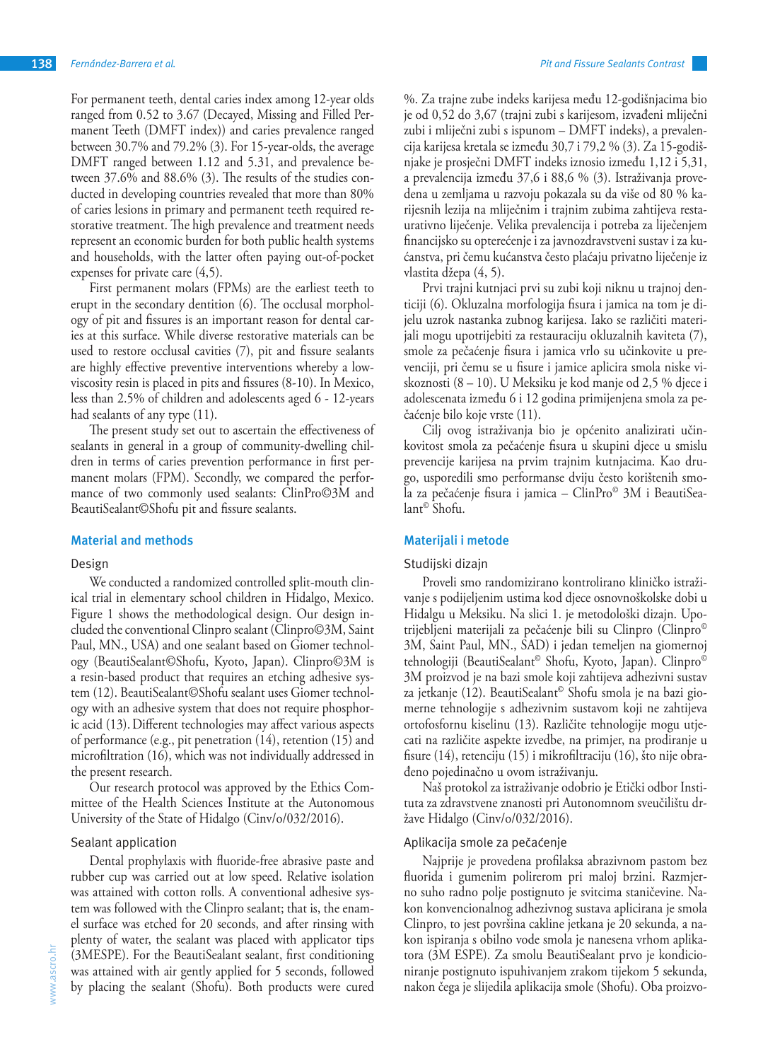For permanent teeth, dental caries index among 12-year olds ranged from 0.52 to 3.67 (Decayed, Missing and Filled Permanent Teeth (DMFT index)) and caries prevalence ranged between 30.7% and 79.2% (3). For 15-year-olds, the average DMFT ranged between 1.12 and 5.31, and prevalence between 37.6% and 88.6% (3). The results of the studies conducted in developing countries revealed that more than 80% of caries lesions in primary and permanent teeth required restorative treatment. The high prevalence and treatment needs represent an economic burden for both public health systems and households, with the latter often paying out-of-pocket expenses for private care (4,5).

First permanent molars (FPMs) are the earliest teeth to erupt in the secondary dentition (6). The occlusal morphology of pit and fissures is an important reason for dental caries at this surface. While diverse restorative materials can be used to restore occlusal cavities (7), pit and fissure sealants are highly effective preventive interventions whereby a lowviscosity resin is placed in pits and fissures (8-10). In Mexico, less than 2.5% of children and adolescents aged 6 - 12-years had sealants of any type (11).

The present study set out to ascertain the effectiveness of sealants in general in a group of community-dwelling children in terms of caries prevention performance in first permanent molars (FPM). Secondly, we compared the performance of two commonly used sealants: ClinPro©3M and BeautiSealant©Shofu pit and fissure sealants.

#### **Material and methods**

#### Design

We conducted a randomized controlled split-mouth clinical trial in elementary school children in Hidalgo, Mexico. Figure 1 shows the methodological design. Our design included the conventional Clinpro sealant (Clinpro©3M, Saint Paul, MN., USA) and one sealant based on Giomer technology (BeautiSealant©Shofu, Kyoto, Japan). Clinpro©3M is a resin-based product that requires an etching adhesive system (12). BeautiSealant©Shofu sealant uses Giomer technology with an adhesive system that does not require phosphoric acid (13).Different technologies may affect various aspects of performance (e.g., pit penetration (14), retention (15) and microfiltration (16), which was not individually addressed in the present research.

Our research protocol was approved by the Ethics Committee of the Health Sciences Institute at the Autonomous University of the State of Hidalgo (Cinv/o/032/2016).

#### Sealant application

Dental prophylaxis with fluoride-free abrasive paste and rubber cup was carried out at low speed. Relative isolation was attained with cotton rolls. A conventional adhesive system was followed with the Clinpro sealant; that is, the enamel surface was etched for 20 seconds, and after rinsing with plenty of water, the sealant was placed with applicator tips (3MESPE). For the BeautiSealant sealant, first conditioning was attained with air gently applied for 5 seconds, followed by placing the sealant (Shofu). Both products were cured

%. Za trajne zube indeks karijesa među 12-godišnjacima bio je od 0,52 do 3,67 (trajni zubi s karijesom, izvađeni mliječni zubi i mliječni zubi s ispunom – DMFT indeks), a prevalencija karijesa kretala se između 30,7 i 79,2 % (3). Za 15-godišnjake je prosječni DMFT indeks iznosio između 1,12 i 5,31, a prevalencija između 37,6 i 88,6 % (3). Istraživanja provedena u zemljama u razvoju pokazala su da više od 80 % karijesnih lezija na mliječnim i trajnim zubima zahtijeva restaurativno liječenje. Velika prevalencija i potreba za liječenjem financijsko su opterećenje i za javnozdravstveni sustav i za kućanstva, pri čemu kućanstva često plaćaju privatno liječenje iz vlastita džepa (4, 5).

Prvi trajni kutnjaci prvi su zubi koji niknu u trajnoj denticiji (6). Okluzalna morfologija fisura i jamica na tom je dijelu uzrok nastanka zubnog karijesa. Iako se različiti materijali mogu upotrijebiti za restauraciju okluzalnih kaviteta (7), smole za pečaćenje fisura i jamica vrlo su učinkovite u prevenciji, pri čemu se u fisure i jamice aplicira smola niske viskoznosti (8 – 10). U Meksiku je kod manje od 2,5 % djece i adolescenata između 6 i 12 godina primijenjena smola za pečaćenje bilo koje vrste (11).

Cilj ovog istraživanja bio je općenito analizirati učinkovitost smola za pečaćenje fisura u skupini djece u smislu prevencije karijesa na prvim trajnim kutnjacima. Kao drugo, usporedili smo performanse dviju često korištenih smola za pečaćenje fisura i jamica – ClinPro© 3M i BeautiSealant© Shofu.

#### **Materijali i metode**

#### Studijski dizajn

Proveli smo randomizirano kontrolirano kliničko istraživanje s podijeljenim ustima kod djece osnovnoškolske dobi u Hidalgu u Meksiku. Na slici 1. je metodološki dizajn. Upotrijebljeni materijali za pečaćenje bili su Clinpro (Clinpro© 3M, Saint Paul, MN., SAD) i jedan temeljen na giomernoj tehnologiji (BeautiSealant© Shofu, Kyoto, Japan). Clinpro© 3M proizvod je na bazi smole koji zahtijeva adhezivni sustav za jetkanje (12). BeautiSealant© Shofu smola je na bazi giomerne tehnologije s adhezivnim sustavom koji ne zahtijeva ortofosfornu kiselinu (13). Različite tehnologije mogu utjecati na različite aspekte izvedbe, na primjer, na prodiranje u fisure (14), retenciju (15) i mikrofiltraciju (16), što nije obrađeno pojedinačno u ovom istraživanju.

Naš protokol za istraživanje odobrio je Etički odbor Instituta za zdravstvene znanosti pri Autonomnom sveučilištu države Hidalgo (Cinv/o/032/2016).

## Aplikacija smole za pečaćenje

Najprije je provedena profilaksa abrazivnom pastom bez fluorida i gumenim polirerom pri maloj brzini. Razmjerno suho radno polje postignuto je svitcima staničevine. Nakon konvencionalnog adhezivnog sustava aplicirana je smola Clinpro, to jest površina cakline jetkana je 20 sekunda, a nakon ispiranja s obilno vode smola je nanesena vrhom aplikatora (3M ESPE). Za smolu BeautiSealant prvo je kondicioniranje postignuto ispuhivanjem zrakom tijekom 5 sekunda, nakon čega je slijedila aplikacija smole (Shofu). Oba proizvo-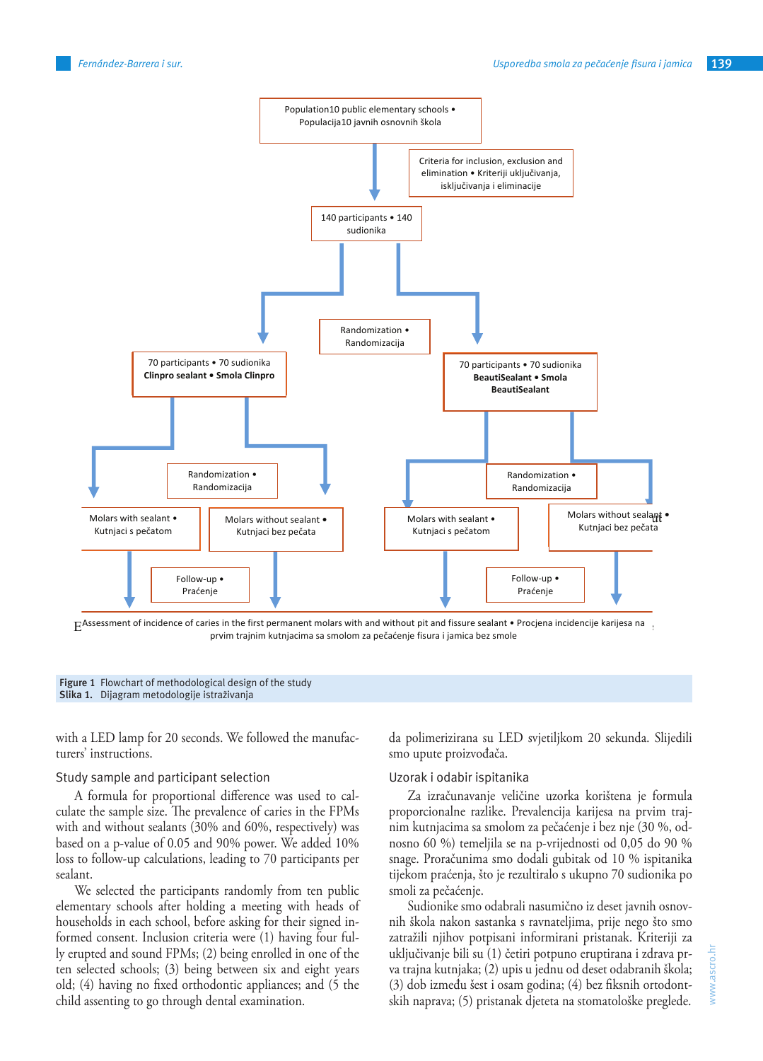



Figure 1 Flowchart of methodological design of the study **Slika 1.** Dijagram metodologije istraživanja

with a LED lamp for 20 seconds. We followed the manufacturers' instructions.

# Study sample and participant selection

A formula for proportional difference was used to calculate the sample size. The prevalence of caries in the FPMs with and without sealants (30% and 60%, respectively) was based on a p-value of 0.05 and 90% power. We added 10% loss to follow-up calculations, leading to 70 participants per sealant.

We selected the participants randomly from ten public elementary schools after holding a meeting with heads of households in each school, before asking for their signed informed consent. Inclusion criteria were (1) having four fully erupted and sound FPMs; (2) being enrolled in one of the ten selected schools; (3) being between six and eight years old; (4) having no fixed orthodontic appliances; and (5 the child assenting to go through dental examination.

da polimerizirana su LED svjetiljkom 20 sekunda. Slijedili smo upute proizvođača.

#### Uzorak i odabir ispitanika

Za izračunavanje veličine uzorka korištena je formula proporcionalne razlike. Prevalencija karijesa na prvim trajnim kutnjacima sa smolom za pečaćenje i bez nje (30 %, odnosno 60 %) temeljila se na p-vrijednosti od 0,05 do 90 % snage. Proračunima smo dodali gubitak od 10 % ispitanika tijekom praćenja, što je rezultiralo s ukupno 70 sudionika po smoli za pečaćenje.

Sudionike smo odabrali nasumično iz deset javnih osnovnih škola nakon sastanka s ravnateljima, prije nego što smo zatražili njihov potpisani informirani pristanak. Kriteriji za uključivanje bili su (1) četiri potpuno eruptirana i zdrava prva trajna kutnjaka; (2) upis u jednu od deset odabranih škola; (3) dob između šest i osam godina; (4) bez fiksnih ortodontskih naprava; (5) pristanak djeteta na stomatološke preglede.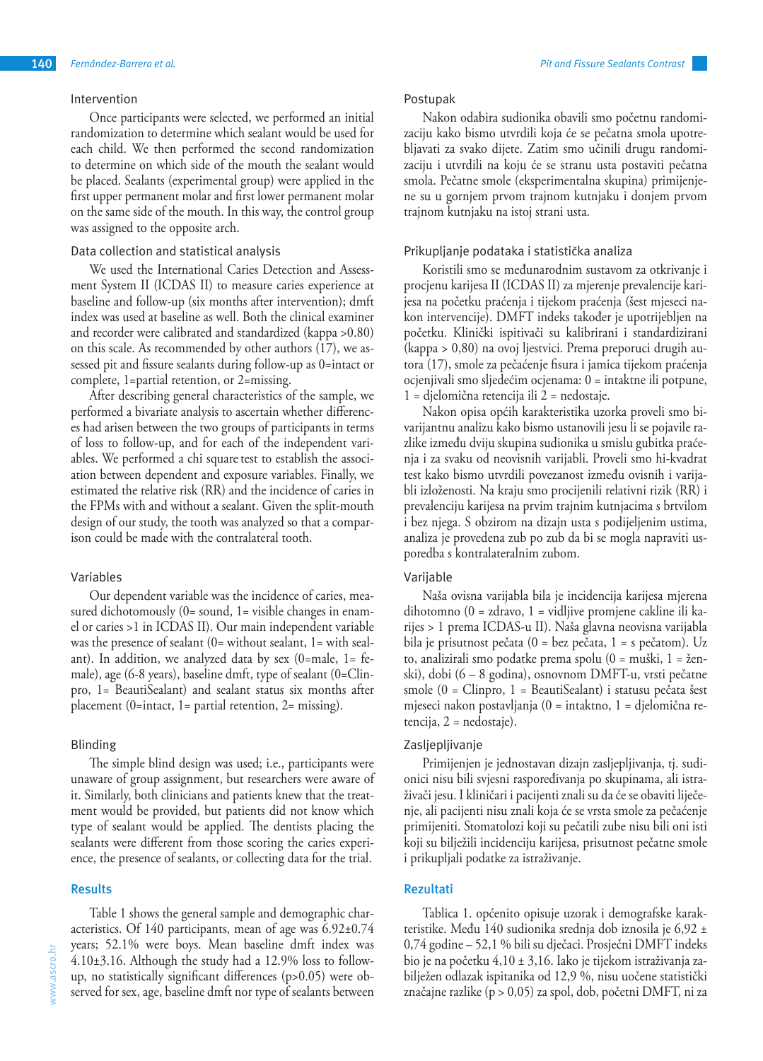## Intervention

Once participants were selected, we performed an initial randomization to determine which sealant would be used for each child. We then performed the second randomization to determine on which side of the mouth the sealant would be placed. Sealants (experimental group) were applied in the first upper permanent molar and first lower permanent molar on the same side of the mouth. In this way, the control group was assigned to the opposite arch.

# Data collection and statistical analysis

We used the International Caries Detection and Assessment System II (ICDAS II) to measure caries experience at baseline and follow-up (six months after intervention); dmft index was used at baseline as well. Both the clinical examiner and recorder were calibrated and standardized (kappa >0.80) on this scale. As recommended by other authors (17), we assessed pit and fissure sealants during follow-up as 0=intact or complete, 1=partial retention, or 2=missing.

After describing general characteristics of the sample, we performed a bivariate analysis to ascertain whether differences had arisen between the two groups of participants in terms of loss to follow-up, and for each of the independent variables. We performed a chi square test to establish the association between dependent and exposure variables. Finally, we estimated the relative risk (RR) and the incidence of caries in the FPMs with and without a sealant. Given the split-mouth design of our study, the tooth was analyzed so that a comparison could be made with the contralateral tooth.

#### Variables

Our dependent variable was the incidence of caries, measured dichotomously (0= sound, 1= visible changes in enamel or caries >1 in ICDAS II). Our main independent variable was the presence of sealant (0= without sealant, 1= with sealant). In addition, we analyzed data by sex  $(0)$ =male, 1= female), age (6-8 years), baseline dmft, type of sealant (0=Clinpro, 1= BeautiSealant) and sealant status six months after placement (0=intact, 1= partial retention, 2= missing).

# Blinding

The simple blind design was used; i.e., participants were unaware of group assignment, but researchers were aware of it. Similarly, both clinicians and patients knew that the treatment would be provided, but patients did not know which type of sealant would be applied. The dentists placing the sealants were different from those scoring the caries experience, the presence of sealants, or collecting data for the trial.

# **Results**

Table 1 shows the general sample and demographic characteristics. Of 140 participants, mean of age was 6.92±0.74 years; 52.1% were boys. Mean baseline dmft index was 4.10±3.16. Although the study had a 12.9% loss to followup, no statistically significant differences (p>0.05) were observed for sex, age, baseline dmft nor type of sealants between

Nakon odabira sudionika obavili smo početnu randomizaciju kako bismo utvrdili koja će se pečatna smola upotrebljavati za svako dijete. Zatim smo učinili drugu randomizaciju i utvrdili na koju će se stranu usta postaviti pečatna smola. Pečatne smole (eksperimentalna skupina) primijenjene su u gornjem prvom trajnom kutnjaku i donjem prvom trajnom kutnjaku na istoj strani usta.

## Prikupljanje podataka i statistička analiza

Koristili smo se međunarodnim sustavom za otkrivanje i procjenu karijesa II (ICDAS II) za mjerenje prevalencije karijesa na početku praćenja i tijekom praćenja (šest mjeseci nakon intervencije). DMFT indeks također je upotrijebljen na početku. Klinički ispitivači su kalibrirani i standardizirani (kappa > 0,80) na ovoj ljestvici. Prema preporuci drugih autora (17), smole za pečaćenje fisura i jamica tijekom praćenja ocjenjivali smo sljedećim ocjenama: 0 = intaktne ili potpune, 1 = djelomična retencija ili 2 = nedostaje.

Nakon opisa općih karakteristika uzorka proveli smo bivarijantnu analizu kako bismo ustanovili jesu li se pojavile razlike između dviju skupina sudionika u smislu gubitka praćenja i za svaku od neovisnih varijabli. Proveli smo hi-kvadrat test kako bismo utvrdili povezanost između ovisnih i varijabli izloženosti. Na kraju smo procijenili relativni rizik (RR) i prevalenciju karijesa na prvim trajnim kutnjacima s brtvilom i bez njega. S obzirom na dizajn usta s podijeljenim ustima, analiza je provedena zub po zub da bi se mogla napraviti usporedba s kontralateralnim zubom.

# Varijable

Naša ovisna varijabla bila je incidencija karijesa mjerena dihotomno (0 = zdravo, 1 = vidljive promjene cakline ili karijes > 1 prema ICDAS-u II). Naša glavna neovisna varijabla bila je prisutnost pečata (0 = bez pečata, 1 = s pečatom). Uz to, analizirali smo podatke prema spolu (0 = muški, 1 = ženski), dobi (6 – 8 godina), osnovnom DMFT-u, vrsti pečatne smole (0 = Clinpro, 1 = BeautiSealant) i statusu pečata šest mjeseci nakon postavljanja (0 = intaktno, 1 = djelomična retencija, 2 = nedostaje).

# Zasljepljivanje

Primijenjen je jednostavan dizajn zasljepljivanja, tj. sudionici nisu bili svjesni raspoređivanja po skupinama, ali istraživači jesu. I kliničari i pacijenti znali su da će se obaviti liječenje, ali pacijenti nisu znali koja će se vrsta smole za pečaćenje primijeniti. Stomatolozi koji su pečatili zube nisu bili oni isti koji su bilježili incidenciju karijesa, prisutnost pečatne smole i prikupljali podatke za istraživanje.

# **Rezultati**

Tablica 1. općenito opisuje uzorak i demografske karakteristike. Među 140 sudionika srednja dob iznosila je 6,92 ± 0,74 godine – 52,1 % bili su dječaci. Prosječni DMFT indeks bio je na početku 4,10 ± 3,16. Iako je tijekom istraživanja zabilježen odlazak ispitanika od 12,9 %, nisu uočene statistički značajne razlike (p > 0,05) za spol, dob, početni DMFT, ni za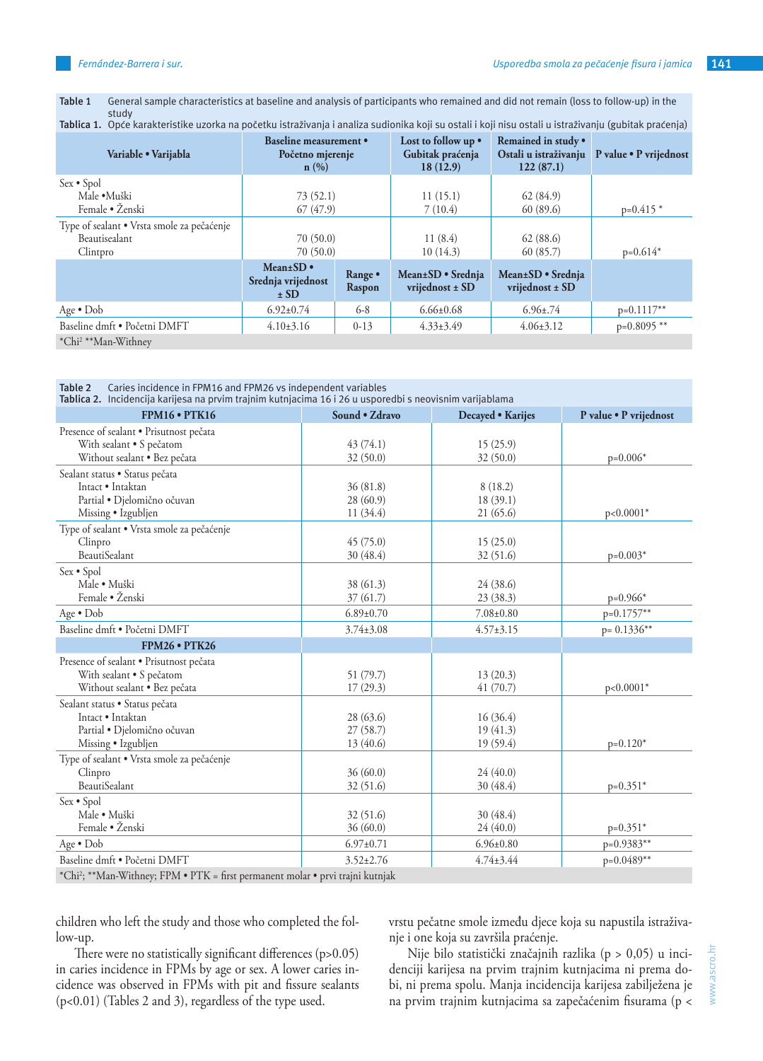**Table 1** General sample characteristics at baseline and analysis of participants who remained and did not remain (loss to follow-up) in the study

| Tablica 1. Opće karakteristike uzorka na početku istraživanja i analiza sudionika koji su ostali i koji nisu ostali u istraživanju (gubitak praćenja) |                                                           |                   |                                                     |                                      |                                              |
|-------------------------------------------------------------------------------------------------------------------------------------------------------|-----------------------------------------------------------|-------------------|-----------------------------------------------------|--------------------------------------|----------------------------------------------|
| Variable · Varijabla                                                                                                                                  | <b>Baseline measurement</b> •<br>Početno mjerenje<br>n(%) |                   | Lost to follow up •<br>Gubitak praćenja<br>18(12.9) | Remained in study .<br>122(87.1)     | Ostali u istraživanju P value • P vrijednost |
| Sex • Spol                                                                                                                                            |                                                           |                   |                                                     |                                      |                                              |
| Male •Muški                                                                                                                                           | 73(52.1)                                                  |                   | 11(15.1)                                            | 62(84.9)                             |                                              |
| Female • Ženski                                                                                                                                       | 67(47.9)                                                  |                   | 7(10.4)                                             | 60(89.6)                             | $p=0.415*$                                   |
| Type of sealant • Vrsta smole za pečaćenje                                                                                                            |                                                           |                   |                                                     |                                      |                                              |
| Beautisealant                                                                                                                                         | 70(50.0)                                                  |                   | 11(8.4)                                             | 62(88.6)                             |                                              |
| Clintpro                                                                                                                                              | 70(50.0)                                                  |                   | 10(14.3)                                            | 60 (85.7)                            | $p=0.614*$                                   |
|                                                                                                                                                       | Mean $\pm$ SD $\bullet$<br>Srednja vrijednost<br>$\pm$ SD | Range •<br>Raspon | Mean±SD • Srednja<br>vrijednost ± SD                | Mean±SD • Srednja<br>vrijednost ± SD |                                              |
| Age $\bullet$ Dob                                                                                                                                     | $6.92 \pm 0.74$                                           | $6 - 8$           | $6.66 \pm 0.68$                                     | $6.96 \pm .74$                       | $p=0.1117**$                                 |
| Baseline dmft · Početni DMFT                                                                                                                          | $4.10\pm3.16$                                             | $0-13$            | $4.33 \pm 3.49$                                     | $4.06 \pm 3.12$                      | $p=0.8095$ **                                |
| *Chi <sup>2</sup> **Man-Withney                                                                                                                       |                                                           |                   |                                                     |                                      |                                              |

| Caries incidence in FPM16 and FPM26 vs independent variables<br>Table 2<br>Tablica 2. Incidencija karijesa na prvim trajnim kutnjacima 16 i 26 u usporedbi s neovisnim varijablama |                 |                   |                        |  |  |  |
|------------------------------------------------------------------------------------------------------------------------------------------------------------------------------------|-----------------|-------------------|------------------------|--|--|--|
| <b>FPM16 • PTK16</b>                                                                                                                                                               | Sound • Zdravo  | Decayed . Karijes | P value . P vrijednost |  |  |  |
| Presence of sealant • Prisutnost pečata                                                                                                                                            |                 |                   |                        |  |  |  |
| With sealant • S pečatom                                                                                                                                                           | 43(74.1)        | 15(25.9)          |                        |  |  |  |
| Without sealant · Bez pečata                                                                                                                                                       | 32(50.0)        | 32(50.0)          | $p=0.006*$             |  |  |  |
| Sealant status · Status pečata                                                                                                                                                     |                 |                   |                        |  |  |  |
| Intact • Intaktan                                                                                                                                                                  | 36(81.8)        | 8(18.2)           |                        |  |  |  |
| Partial · Djelomično očuvan                                                                                                                                                        | 28(60.9)        | 18(39.1)          |                        |  |  |  |
| Missing • Izgubljen                                                                                                                                                                | 11(34.4)        | 21 (65.6)         | $p<0.0001*$            |  |  |  |
| Type of sealant • Vrsta smole za pečaćenje                                                                                                                                         |                 |                   |                        |  |  |  |
| Clinpro                                                                                                                                                                            | 45(75.0)        | 15(25.0)          |                        |  |  |  |
| <b>BeautiSealant</b>                                                                                                                                                               | 30(48.4)        | 32(51.6)          | $p=0.003*$             |  |  |  |
| Sex • Spol                                                                                                                                                                         |                 |                   |                        |  |  |  |
| Male · Muški                                                                                                                                                                       | 38(61.3)        | 24 (38.6)         |                        |  |  |  |
| Female · Ženski                                                                                                                                                                    | 37(61.7)        | 23(38.3)          | $p=0.966*$             |  |  |  |
| Age • Dob                                                                                                                                                                          | $6.89 \pm 0.70$ | $7.08 \pm 0.80$   | p=0.1757**             |  |  |  |
| Baseline dmft · Početni DMFT                                                                                                                                                       | $3.74 \pm 3.08$ | $4.57 \pm 3.15$   | $p = 0.1336**$         |  |  |  |
| <b>FPM26 • PTK26</b>                                                                                                                                                               |                 |                   |                        |  |  |  |
| Presence of sealant · Prisutnost pečata                                                                                                                                            |                 |                   |                        |  |  |  |
| With sealant • S pečatom                                                                                                                                                           | 51 (79.7)       | 13(20.3)          |                        |  |  |  |
| Without sealant · Bez pečata                                                                                                                                                       | 17(29.3)        | 41(70.7)          | $p<0.0001*$            |  |  |  |
| Sealant status · Status pečata                                                                                                                                                     |                 |                   |                        |  |  |  |
| Intact • Intaktan                                                                                                                                                                  | 28(63.6)        | 16(36.4)          |                        |  |  |  |
| Partial · Djelomično očuvan                                                                                                                                                        | 27(58.7)        | 19(41.3)          |                        |  |  |  |
| Missing · Izgubljen                                                                                                                                                                | 13 (40.6)       | 19(59.4)          | $p=0.120*$             |  |  |  |
| Type of sealant • Vrsta smole za pečaćenje                                                                                                                                         |                 |                   |                        |  |  |  |
| Clinpro                                                                                                                                                                            | 36(60.0)        | 24(40.0)          |                        |  |  |  |
| <b>BeautiSealant</b>                                                                                                                                                               | 32(51.6)        | 30 (48.4)         | $p=0.351*$             |  |  |  |
| Sex · Spol                                                                                                                                                                         |                 |                   |                        |  |  |  |
| Male · Muški                                                                                                                                                                       | 32(51.6)        | 30 (48.4)         |                        |  |  |  |
| Female · Ženski                                                                                                                                                                    | 36(60.0)        | 24(40.0)          | $p=0.351*$             |  |  |  |
| Age • Dob                                                                                                                                                                          | $6.97 \pm 0.71$ | $6.96 \pm 0.80$   | $p=0.9383**$           |  |  |  |
| Baseline dmft · Početni DMFT                                                                                                                                                       | $3.52 \pm 2.76$ | $4.74 \pm 3.44$   | $p=0.0489**$           |  |  |  |

\*Chi2 ; \*\*Man-Withney; FPM • PTK = first permanent molar • prvi trajni kutnjak

children who left the study and those who completed the follow-up.

There were no statistically significant differences (p>0.05) in caries incidence in FPMs by age or sex. A lower caries incidence was observed in FPMs with pit and fissure sealants (p<0.01) (Tables 2 and 3), regardless of the type used.

vrstu pečatne smole između djece koja su napustila istraživanje i one koja su završila praćenje.

Nije bilo statistički značajnih razlika (p > 0,05) u incidenciji karijesa na prvim trajnim kutnjacima ni prema dobi, ni prema spolu. Manja incidencija karijesa zabilježena je na prvim trajnim kutnjacima sa zapečaćenim fisurama (p <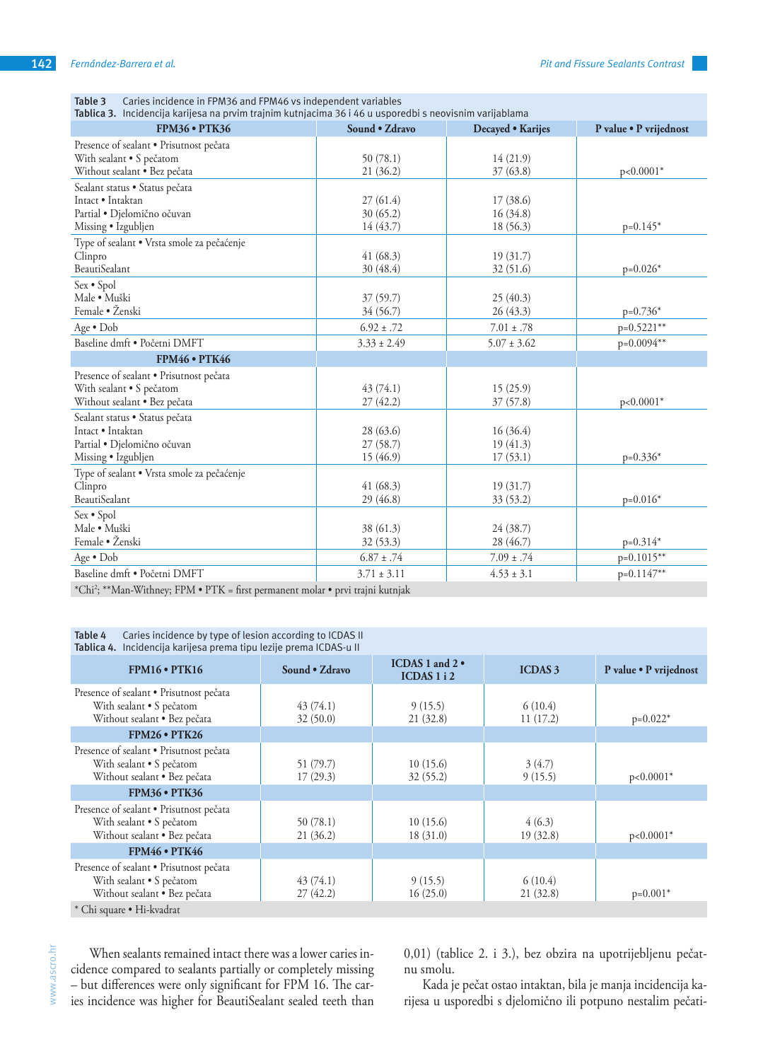| Tablica 3. Incidencija karijesa na prvim trajnim kutnjacima 36 i 46 u usporedbi s neovisnim varijablama |                 |                   |                        |  |  |  |
|---------------------------------------------------------------------------------------------------------|-----------------|-------------------|------------------------|--|--|--|
| <b>FPM36 • PTK36</b>                                                                                    | Sound • Zdravo  | Decayed • Karijes | P value . P vrijednost |  |  |  |
| Presence of sealant · Prisutnost pečata                                                                 |                 |                   |                        |  |  |  |
| With sealant . S pečatom                                                                                | 50(78.1)        | 14(21.9)          |                        |  |  |  |
| Without sealant · Bez pečata                                                                            | 21 (36.2)       | 37(63.8)          | $p<0.0001*$            |  |  |  |
| Sealant status · Status pečata                                                                          |                 |                   |                        |  |  |  |
| Intact · Intaktan                                                                                       | 27(61.4)        | 17(38.6)          |                        |  |  |  |
| Partial · Djelomično očuvan                                                                             | 30(65.2)        | 16(34.8)          |                        |  |  |  |
| Missing · Izgubljen                                                                                     | 14(43.7)        | 18 (56.3)         | $p=0.145*$             |  |  |  |
| Type of sealant · Vrsta smole za pečaćenje                                                              |                 |                   |                        |  |  |  |
| Clinpro                                                                                                 | 41(68.3)        | 19(31.7)          |                        |  |  |  |
| <b>BeautiSealant</b>                                                                                    | 30 (48.4)       | 32 (51.6)         | $p=0.026*$             |  |  |  |
| Sex · Spol                                                                                              |                 |                   |                        |  |  |  |
| Male · Muški                                                                                            | 37(59.7)        | 25(40.3)          |                        |  |  |  |
| Female • Ženski                                                                                         | 34 (56.7)       | 26(43.3)          | $p=0.736*$             |  |  |  |
| Age · Dob                                                                                               | $6.92 \pm .72$  | $7.01 \pm .78$    | $p=0.5221**$           |  |  |  |
| Baseline dmft · Početni DMFT                                                                            | $3.33 \pm 2.49$ | $5.07 \pm 3.62$   | p=0.0094**             |  |  |  |
| <b>FPM46 • PTK46</b>                                                                                    |                 |                   |                        |  |  |  |
| Presence of sealant · Prisutnost pečata                                                                 |                 |                   |                        |  |  |  |
| With sealant . S pečatom                                                                                | 43(74.1)        | 15(25.9)          |                        |  |  |  |
| Without sealant · Bez pečata                                                                            | 27(42.2)        | 37(57.8)          | $p<0.0001*$            |  |  |  |
| Sealant status · Status pečata                                                                          |                 |                   |                        |  |  |  |
| Intact · Intaktan                                                                                       | 28 (63.6)       | 16(36.4)          |                        |  |  |  |
| Partial · Djelomično očuvan                                                                             | 27(58.7)        | 19(41.3)          |                        |  |  |  |
| Missing • Izgubljen                                                                                     | 15(46.9)        | 17(53.1)          | $p=0.336*$             |  |  |  |
| Type of sealant · Vrsta smole za pečaćenje                                                              |                 |                   |                        |  |  |  |
| Clinpro                                                                                                 | 41(68.3)        | 19(31.7)          |                        |  |  |  |
| <b>BeautiSealant</b>                                                                                    | 29 (46.8)       | 33(53.2)          | $p=0.016*$             |  |  |  |
| Sex • Spol                                                                                              |                 |                   |                        |  |  |  |
| Male · Muški                                                                                            | 38 (61.3)       | 24 (38.7)         |                        |  |  |  |
| Female · Ženski                                                                                         | 32(53.3)        | 28 (46.7)         | $p=0.314*$             |  |  |  |
| Age • Dob                                                                                               | $6.87 \pm .74$  | $7.09 \pm .74$    | $p=0.1015**$           |  |  |  |
| Baseline dmft · Početni DMFT                                                                            | $3.71 \pm 3.11$ | $4.53 \pm 3.1$    | p=0.1147**             |  |  |  |
| *Chi <sup>2</sup> ; **Man-Withney; FPM • PTK = first permanent molar • prvi trajni kutnjak              |                 |                   |                        |  |  |  |

| Table 3 | Caries incidence in FPM36 and FPM46 vs independent variables |
|---------|--------------------------------------------------------------|
|---------|--------------------------------------------------------------|

**Table 4** Caries incidence by type of lesion according to ICDAS II **Tablica 4.** Incidencija karijesa prema tipu lezije prema ICDAS-u II

| Tablica 4. Thcidencija Karijesa prema tipu ležije prema iCDAS-u il                                  |                       |                                          |                     |                        |  |
|-----------------------------------------------------------------------------------------------------|-----------------------|------------------------------------------|---------------------|------------------------|--|
| $FPM16 \cdot PTK16$                                                                                 | Sound • Zdravo        | ICDAS 1 and $2 \cdot$<br>ICDAS $1$ i $2$ | <b>ICDAS 3</b>      | P value · P vrijednost |  |
| Presence of sealant · Prisutnost pečata<br>With sealant • S pečatom<br>Without sealant · Bez pečata | 43(74.1)<br>32(50.0)  | 9(15.5)<br>21(32.8)                      | 6(10.4)<br>11(17.2) | $p=0.022*$             |  |
| $FPM26 \cdot PTK26$                                                                                 |                       |                                          |                     |                        |  |
| Presence of sealant • Prisutnost pečata<br>With sealant • S pečatom<br>Without sealant · Bez pečata | 51 (79.7)<br>17(29.3) | 10(15.6)<br>32(55.2)                     | 3(4.7)<br>9(15.5)   | $p<0.0001*$            |  |
| <b>FPM36 • PTK36</b>                                                                                |                       |                                          |                     |                        |  |
| Presence of sealant · Prisutnost pečata<br>With sealant . S pečatom<br>Without sealant · Bez pečata | 50(78.1)<br>21(36.2)  | 10(15.6)<br>18(31.0)                     | 4(6.3)<br>19(32.8)  | $p<0.0001*$            |  |
| <b>FPM46 • PTK46</b>                                                                                |                       |                                          |                     |                        |  |
| Presence of sealant · Prisutnost pečata<br>With sealant . S pečatom<br>Without sealant · Bez pečata | 43(74.1)<br>27(42.2)  | 9(15.5)<br>16(25.0)                      | 6(10.4)<br>21(32.8) | $p=0.001*$             |  |
| * Chi square • Hi-kvadrat                                                                           |                       |                                          |                     |                        |  |

\* Chi square • Hi-kvadrat

www.ascro.hr www.ascro.hr

When sealants remained intact there was a lower caries incidence compared to sealants partially or completely missing – but differences were only significant for FPM 16. The caries incidence was higher for BeautiSealant sealed teeth than 0,01) (tablice 2. i 3.), bez obzira na upotrijebljenu pečatnu smolu.

Kada je pečat ostao intaktan, bila je manja incidencija karijesa u usporedbi s djelomično ili potpuno nestalim pečati-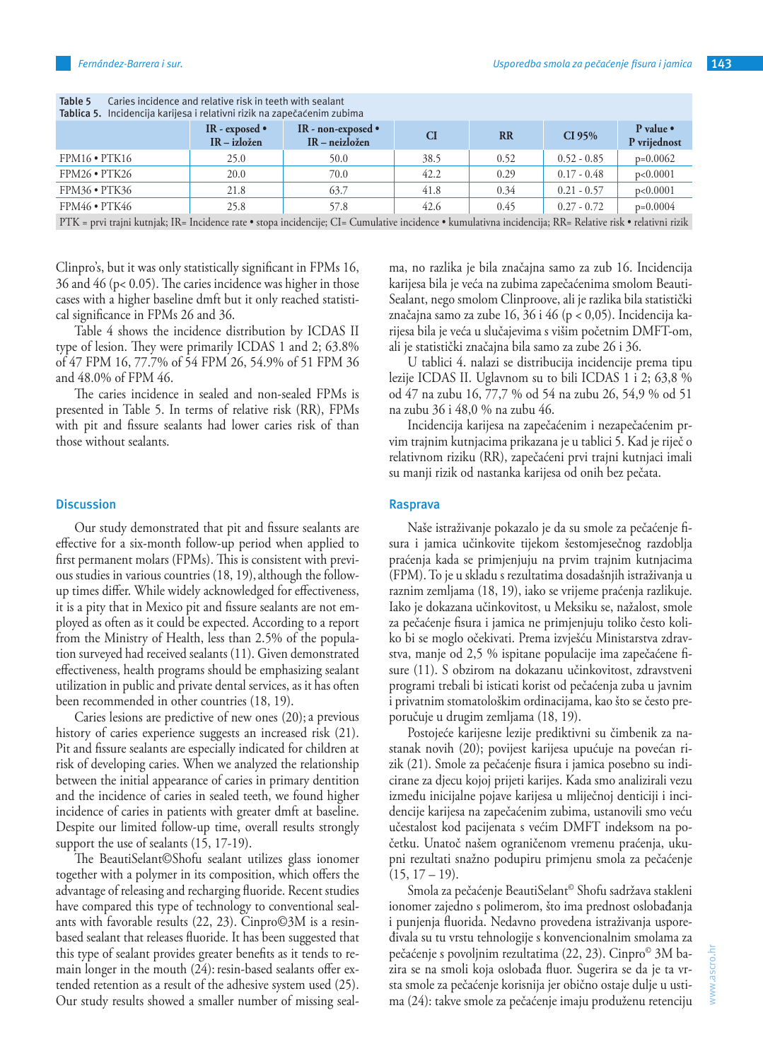| Tablica 5. Incidencija karijesa i relativni rizik na zapečaćenim zubima                                                                                    |                                          |                                                |           |           |               |                           |
|------------------------------------------------------------------------------------------------------------------------------------------------------------|------------------------------------------|------------------------------------------------|-----------|-----------|---------------|---------------------------|
|                                                                                                                                                            | IR - exposed $\bullet$<br>$IR - izložen$ | IR - non-exposed $\bullet$<br>$IR - neizložen$ | <b>CI</b> | <b>RR</b> | CI 95%        | P value •<br>P vrijednost |
| $FPM16 \cdot PTK16$                                                                                                                                        | 25.0                                     | 50.0                                           | 38.5      | 0.52      | $0.52 - 0.85$ | $p=0.0062$                |
| $FPM26 \cdot PTK26$                                                                                                                                        | 20.0                                     | 70.0                                           | 42.2      | 0.29      | $0.17 - 0.48$ | p<0.0001                  |
| $FPM36 \cdot PTK36$                                                                                                                                        | 21.8                                     | 63.7                                           | 41.8      | 0.34      | $0.21 - 0.57$ | p<0.0001                  |
| $FPM46 \cdot PTK46$                                                                                                                                        | 25.8                                     | 57.8                                           | 42.6      | 0.45      | $0.27 - 0.72$ | $p=0.0004$                |
| PTK = prvi trajni kutnjak; IR= Incidence rate • stopa incidencije; CI= Cumulative incidence • kumulativna incidencija; RR= Relative risk • relativni rizik |                                          |                                                |           |           |               |                           |

**Table 5** Caries incidence and relative risk in teeth with sealant

Clinpro's, but it was only statistically significant in FPMs 16, 36 and 46 (p< 0.05). The caries incidence was higher in those cases with a higher baseline dmft but it only reached statistical significance in FPMs 26 and 36.

Table 4 shows the incidence distribution by ICDAS II type of lesion. They were primarily ICDAS 1 and 2; 63.8% of 47 FPM 16, 77.7% of 54 FPM 26, 54.9% of 51 FPM 36 and 48.0% of FPM 46.

The caries incidence in sealed and non-sealed FPMs is presented in Table 5. In terms of relative risk (RR), FPMs with pit and fissure sealants had lower caries risk of than those without sealants.

#### **Discussion**

Our study demonstrated that pit and fissure sealants are effective for a six-month follow-up period when applied to first permanent molars (FPMs). This is consistent with previous studies in various countries (18, 19), although the followup times differ. While widely acknowledged for effectiveness, it is a pity that in Mexico pit and fissure sealants are not employed as often as it could be expected. According to a report from the Ministry of Health, less than 2.5% of the population surveyed had received sealants (11). Given demonstrated effectiveness, health programs should be emphasizing sealant utilization in public and private dental services, as it has often been recommended in other countries (18, 19).

Caries lesions are predictive of new ones (20); a previous history of caries experience suggests an increased risk (21). Pit and fissure sealants are especially indicated for children at risk of developing caries. When we analyzed the relationship between the initial appearance of caries in primary dentition and the incidence of caries in sealed teeth, we found higher incidence of caries in patients with greater dmft at baseline. Despite our limited follow-up time, overall results strongly support the use of sealants (15, 17-19).

The BeautiSelant©Shofu sealant utilizes glass ionomer together with a polymer in its composition, which offers the advantage of releasing and recharging fluoride. Recent studies have compared this type of technology to conventional sealants with favorable results (22, 23). Cinpro©3M is a resinbased sealant that releases fluoride. It has been suggested that this type of sealant provides greater benefits as it tends to remain longer in the mouth  $(24)$ : resin-based sealants offer extended retention as a result of the adhesive system used (25). Our study results showed a smaller number of missing sealma, no razlika je bila značajna samo za zub 16. Incidencija karijesa bila je veća na zubima zapečaćenima smolom Beauti-Sealant, nego smolom Clinproove, ali je razlika bila statistički značajna samo za zube 16, 36 i 46 (p < 0,05). Incidencija karijesa bila je veća u slučajevima s višim početnim DMFT-om, ali je statistički značajna bila samo za zube 26 i 36.

U tablici 4. nalazi se distribucija incidencije prema tipu lezije ICDAS II. Uglavnom su to bili ICDAS 1 i 2; 63,8 % od 47 na zubu 16, 77,7 % od 54 na zubu 26, 54,9 % od 51 na zubu 36 i 48,0 % na zubu 46.

Incidencija karijesa na zapečaćenim i nezapečaćenim prvim trajnim kutnjacima prikazana je u tablici 5. Kad je riječ o relativnom riziku (RR), zapečaćeni prvi trajni kutnjaci imali su manji rizik od nastanka karijesa od onih bez pečata.

## **Rasprava**

Naše istraživanje pokazalo je da su smole za pečaćenje fisura i jamica učinkovite tijekom šestomjesečnog razdoblja praćenja kada se primjenjuju na prvim trajnim kutnjacima (FPM). To je u skladu s rezultatima dosadašnjih istraživanja u raznim zemljama (18, 19), iako se vrijeme praćenja razlikuje. Iako je dokazana učinkovitost, u Meksiku se, nažalost, smole za pečaćenje fisura i jamica ne primjenjuju toliko često koliko bi se moglo očekivati. Prema izvješću Ministarstva zdravstva, manje od 2,5 % ispitane populacije ima zapečaćene fisure (11). S obzirom na dokazanu učinkovitost, zdravstveni programi trebali bi isticati korist od pečaćenja zuba u javnim i privatnim stomatološkim ordinacijama, kao što se često preporučuje u drugim zemljama (18, 19).

Postojeće karijesne lezije prediktivni su čimbenik za nastanak novih (20); povijest karijesa upućuje na povećan rizik (21). Smole za pečaćenje fisura i jamica posebno su indicirane za djecu kojoj prijeti karijes. Kada smo analizirali vezu između inicijalne pojave karijesa u mliječnoj denticiji i incidencije karijesa na zapečaćenim zubima, ustanovili smo veću učestalost kod pacijenata s većim DMFT indeksom na početku. Unatoč našem ograničenom vremenu praćenja, ukupni rezultati snažno podupiru primjenu smola za pečaćenje  $(15, 17 - 19)$ .

Smola za pečaćenje BeautiSelant© Shofu sadržava stakleni ionomer zajedno s polimerom, što ima prednost oslobađanja i punjenja fluorida. Nedavno provedena istraživanja uspoređivala su tu vrstu tehnologije s konvencionalnim smolama za pečaćenje s povoljnim rezultatima (22, 23). Cinpro© 3M bazira se na smoli koja oslobađa fluor. Sugerira se da je ta vrsta smole za pečaćenje korisnija jer obično ostaje dulje u ustima (24): takve smole za pečaćenje imaju produženu retenciju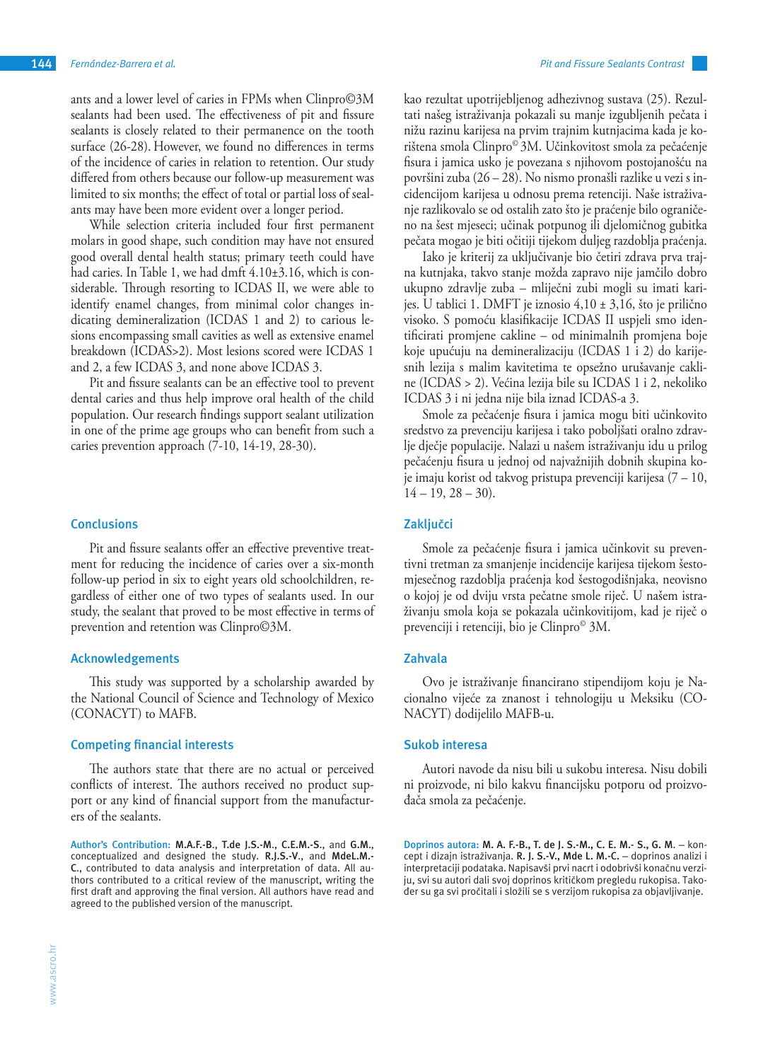ants and a lower level of caries in FPMs when Clinpro©3M sealants had been used. The effectiveness of pit and fissure sealants is closely related to their permanence on the tooth surface (26-28). However, we found no differences in terms of the incidence of caries in relation to retention. Our study differed from others because our follow-up measurement was limited to six months; the effect of total or partial loss of sealants may have been more evident over a longer period.

While selection criteria included four first permanent molars in good shape, such condition may have not ensured good overall dental health status; primary teeth could have had caries. In Table 1, we had dmft 4.10±3.16, which is considerable. Through resorting to ICDAS II, we were able to identify enamel changes, from minimal color changes indicating demineralization (ICDAS 1 and 2) to carious lesions encompassing small cavities as well as extensive enamel breakdown (ICDAS>2). Most lesions scored were ICDAS 1 and 2, a few ICDAS 3, and none above ICDAS 3.

Pit and fissure sealants can be an effective tool to prevent dental caries and thus help improve oral health of the child population. Our research findings support sealant utilization in one of the prime age groups who can benefit from such a caries prevention approach (7-10, 14-19, 28-30).

## **Conclusions**

Pit and fissure sealants offer an effective preventive treatment for reducing the incidence of caries over a six-month follow-up period in six to eight years old schoolchildren, regardless of either one of two types of sealants used. In our study, the sealant that proved to be most effective in terms of prevention and retention was Clinpro©3M.

### **Acknowledgements**

This study was supported by a scholarship awarded by the National Council of Science and Technology of Mexico (CONACYT) to MAFB.

#### **Competing financial interests**

The authors state that there are no actual or perceived conflicts of interest. The authors received no product support or any kind of financial support from the manufacturers of the sealants.

**Author's Contribution: M.A.F.-B**., **T.de J.S.-M**., **C.E.M.-S**., and **G.M**., conceptualized and designed the study. **R.J.S.-V**., and **MdeL.M.- C**., contributed to data analysis and interpretation of data. All authors contributed to a critical review of the manuscript, writing the first draft and approving the final version. All authors have read and agreed to the published version of the manuscript.

kao rezultat upotrijebljenog adhezivnog sustava (25). Rezultati našeg istraživanja pokazali su manje izgubljenih pečata i nižu razinu karijesa na prvim trajnim kutnjacima kada je korištena smola Clinpro© 3M. Učinkovitost smola za pečaćenje fisura i jamica usko je povezana s njihovom postojanošću na površini zuba (26 – 28). No nismo pronašli razlike u vezi s incidencijom karijesa u odnosu prema retenciji. Naše istraživanje razlikovalo se od ostalih zato što je praćenje bilo ograničeno na šest mjeseci; učinak potpunog ili djelomičnog gubitka pečata mogao je biti očitiji tijekom duljeg razdoblja praćenja.

Iako je kriterij za uključivanje bio četiri zdrava prva trajna kutnjaka, takvo stanje možda zapravo nije jamčilo dobro ukupno zdravlje zuba – mliječni zubi mogli su imati karijes. U tablici 1. DMFT je iznosio 4,10 ± 3,16, što je prilično visoko. S pomoću klasifikacije ICDAS II uspjeli smo identificirati promjene cakline – od minimalnih promjena boje koje upućuju na demineralizaciju (ICDAS 1 i 2) do karijesnih lezija s malim kavitetima te opsežno urušavanje cakline (ICDAS > 2). Većina lezija bile su ICDAS 1 i 2, nekoliko ICDAS 3 i ni jedna nije bila iznad ICDAS-a 3.

Smole za pečaćenje fisura i jamica mogu biti učinkovito sredstvo za prevenciju karijesa i tako poboljšati oralno zdravlje dječje populacije. Nalazi u našem istraživanju idu u prilog pečaćenju fisura u jednoj od najvažnijih dobnih skupina koje imaju korist od takvog pristupa prevenciji karijesa (7 – 10,  $14 - 19$ ,  $28 - 30$ ).

## **Zaključci**

Smole za pečaćenje fisura i jamica učinkovit su preventivni tretman za smanjenje incidencije karijesa tijekom šestomjesečnog razdoblja praćenja kod šestogodišnjaka, neovisno o kojoj je od dviju vrsta pečatne smole riječ. U našem istraživanju smola koja se pokazala učinkovitijom, kad je riječ o prevenciji i retenciji, bio je Clinpro© 3M.

# **Zahvala**

Ovo je istraživanje financirano stipendijom koju je Nacionalno vijeće za znanost i tehnologiju u Meksiku (CO-NACYT) dodijelilo MAFB-u.

#### **Sukob interesa**

Autori navode da nisu bili u sukobu interesa. Nisu dobili ni proizvode, ni bilo kakvu financijsku potporu od proizvođača smola za pečaćenje.

**Doprinos autora: M. A. F.-B., T. de J. S.-M., C. E. M.- S., G. M**. – koncept i dizajn istraživanja. **R. J. S.-V., Mde L. M.-C.** – doprinos analizi i interpretaciji podataka. Napisavši prvi nacrt i odobrivši konačnu verziju, svi su autori dali svoj doprinos kritičkom pregledu rukopisa. Također su ga svi pročitali i složili se s verzijom rukopisa za objavljivanje.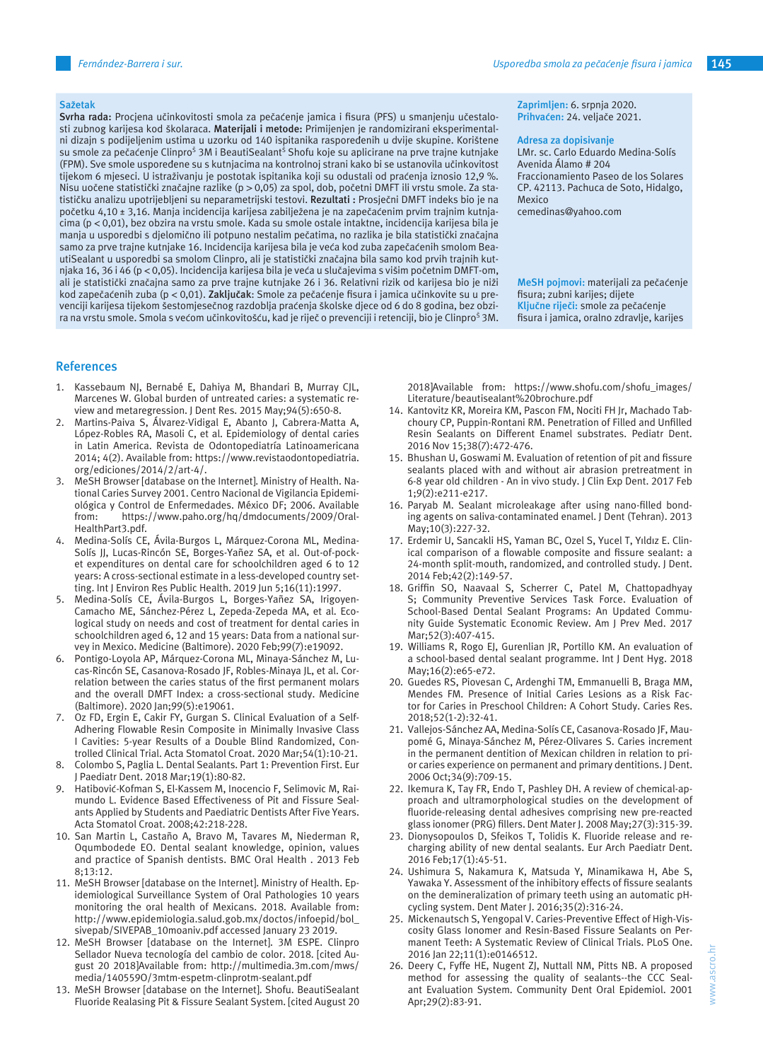#### **Sažetak**

**Svrha rada:** Procjena učinkovitosti smola za pečaćenje jamica i fisura (PFS) u smanjenju učestalosti zubnog karijesa kod školaraca. **Materijali i metode:** Primijenjen je randomizirani eksperimentalni dizajn s podijeljenim ustima u uzorku od 140 ispitanika raspoređenih u dvije skupine. Korištene su smole za pečaćenje Clinpro<sup>š</sup> 3M i BeautiSealant<sup>š</sup> Shofu koje su aplicirane na prve trajne kutnjake (FPM). Sve smole uspoređene su s kutnjacima na kontrolnoj strani kako bi se ustanovila učinkovitost tijekom 6 mjeseci. U istraživanju je postotak ispitanika koji su odustali od praćenja iznosio 12,9 %. Nisu uočene statistički značajne razlike (p > 0,05) za spol, dob, početni DMFT ili vrstu smole. Za statističku analizu upotrijebljeni su neparametrijski testovi. **Rezultati :** Prosječni DMFT indeks bio je na početku 4,10 ± 3,16. Manja incidencija karijesa zabilježena je na zapečaćenim prvim trajnim kutnjacima (p < 0,01), bez obzira na vrstu smole. Kada su smole ostale intaktne, incidencija karijesa bila je manja u usporedbi s djelomično ili potpuno nestalim pečatima, no razlika je bila statistički značajna samo za prve trajne kutnjake 16. Incidencija karijesa bila je veća kod zuba zapečaćenih smolom BeautiSealant u usporedbi sa smolom Clinpro, ali je statistički značajna bila samo kod prvih trajnih kutnjaka 16, 36 i 46 (p < 0,05). Incidencija karijesa bila je veća u slučajevima s višim početnim DMFT-om, ali je statistički značajna samo za prve trajne kutnjake 26 i 36. Relativni rizik od karijesa bio je niži kod zapečaćenih zuba (p < 0,01). **Zaključak**: Smole za pečaćenje fisura i jamica učinkovite su u prevenciji karijesa tijekom šestomjesečnog razdoblja praćenja školske djece od 6 do 8 godina, bez obzira na vrstu smole. Smola s većom učinkovitošću, kad je riječ o prevenciji i retenciji, bio je Clinpro<sup>5</sup> 3M.

#### **References**

- 1. Kassebaum NJ, Bernabé E, Dahiya M, Bhandari B, Murray CJL, Marcenes W. Global burden of untreated caries: a systematic review and metaregression. J Dent Res. 2015 May;94(5):650-8.
- 2. Martins-Paiva S, Álvarez-Vidigal E, Abanto J, Cabrera-Matta A, López-Robles RA, Masoli C, et al. Epidemiology of dental caries in Latin America. Revista de Odontopediatría Latinoamericana 2014; 4(2). Available from: https://www.revistaodontopediatria. org/ediciones/2014/2/art-4/.
- 3. MeSH Browser [database on the Internet]. Ministry of Health. National Caries Survey 2001. Centro Nacional de Vigilancia Epidemiológica y Control de Enfermedades. México DF; 2006. Available from: https://www.paho.org/hq/dmdocuments/2009/Oral-HealthPart3.pdf.
- 4. Medina-Solís CE, Ávila-Burgos L, Márquez-Corona ML, Medina-Solís JJ, Lucas-Rincón SE, Borges-Yañez SA, et al. Out-of-pocket expenditures on dental care for schoolchildren aged 6 to 12 years: A cross-sectional estimate in a less-developed country setting. Int J Environ Res Public Health. 2019 Jun 5;16(11):1997.
- 5. Medina-Solís CE, Ávila-Burgos L, Borges-Yañez SA, Irigoyen-Camacho ME, Sánchez-Pérez L, Zepeda-Zepeda MA, et al. Ecological study on needs and cost of treatment for dental caries in schoolchildren aged 6, 12 and 15 years: Data from a national survey in Mexico. Medicine (Baltimore). 2020 Feb;99(7):e19092.
- 6. Pontigo-Loyola AP, Márquez-Corona ML, Minaya-Sánchez M, Lucas-Rincón SE, Casanova-Rosado JF, Robles-Minaya JL, et al. Correlation between the caries status of the first permanent molars and the overall DMFT Index: a cross-sectional study. Medicine (Baltimore). 2020 Jan;99(5):e19061.
- 7. Oz FD, Ergin E, Cakir FY, Gurgan S. Clinical Evaluation of a Self-Adhering Flowable Resin Composite in Minimally Invasive Class I Cavities: 5-year Results of a Double Blind Randomized, Controlled Clinical Trial. Acta Stomatol Croat. 2020 Mar;54(1):10-21.
- 8. Colombo S, Paglia L. Dental Sealants. Part 1: Prevention First. Eur J Paediatr Dent. 2018 Mar;19(1):80-82.
- 9. Hatibović-Kofman S, El-Kassem M, Inocencio F, Selimovic M, Raimundo L. Evidence Based Effectiveness of Pit and Fissure Sealants Applied by Students and Paediatric Dentists After Five Years. Acta Stomatol Croat. 2008;42:218-228.
- 10. San Martin L, Castaño A, Bravo M, Tavares M, Niederman R, Oqumbodede EO. Dental sealant knowledge, opinion, values and practice of Spanish dentists. BMC Oral Health . 2013 Feb 8;13:12.
- 11. MeSH Browser [database on the Internet]. Ministry of Health. Epidemiological Surveillance System of Oral Pathologies 10 years monitoring the oral health of Mexicans. 2018. Available from: http://www.epidemiologia.salud.gob.mx/doctos/infoepid/bol\_ sivepab/SIVEPAB\_10moaniv.pdf accessed January 23 2019.
- 12. MeSH Browser [database on the Internet]. 3M ESPE. Clinpro Sellador Nueva tecnología del cambio de color. 2018. [cited August 20 2018]Available from: http://multimedia.3m.com/mws/ media/140559O/3mtm-espetm-clinprotm-sealant.pdf
- 13. MeSH Browser [database on the Internet]. Shofu. BeautiSealant Fluoride Realasing Pit & Fissure Sealant System. [cited August 20

**Zaprimljen:** 6. srpnja 2020. **Prihvaćen:** 24. veljače 2021.

#### **Adresa za dopisivanje**

LMr. sc. Carlo Eduardo Medina-Solís Avenida Álamo # 204 Fraccionamiento Paseo de los Solares CP. 42113. Pachuca de Soto, Hidalgo, Mexico

cemedinas@yahoo.com

**MeSH pojmovi:** materijali za pečaćenje fisura; zubni karijes; dijete **Ključne riječi:** smole za pečaćenje fisura i jamica, oralno zdravlje, karijes

2018]Available from: https://www.shofu.com/shofu\_images/ Literature/beautisealant%20brochure.pdf

- 14. Kantovitz KR, Moreira KM, Pascon FM, Nociti FH Jr, Machado Tabchoury CP, Puppin-Rontani RM. Penetration of Filled and Unfilled Resin Sealants on Different Enamel substrates. Pediatr Dent. 2016 Nov 15;38(7):472-476.
- 15. Bhushan U, Goswami M. Evaluation of retention of pit and fissure sealants placed with and without air abrasion pretreatment in 6-8 year old children - An in vivo study. J Clin Exp Dent. 2017 Feb 1;9(2):e211-e217.
- 16. Paryab M. Sealant microleakage after using nano-filled bonding agents on saliva-contaminated enamel. J Dent (Tehran). 2013 May;10(3):227-32.
- 17. Erdemir U, Sancakli HS, Yaman BC, Ozel S, Yucel T, Yıldız E. Clinical comparison of a flowable composite and fissure sealant: a 24-month split-mouth, randomized, and controlled study. J Dent. 2014 Feb;42(2):149-57.
- 18. Griffin SO, Naavaal S, Scherrer C, Patel M, Chattopadhyay S; Community Preventive Services Task Force. Evaluation of School-Based Dental Sealant Programs: An Updated Community Guide Systematic Economic Review. Am J Prev Med. 2017 Mar;52(3):407-415.
- 19. Williams R, Rogo EJ, Gurenlian JR, Portillo KM. An evaluation of a school-based dental sealant programme. Int J Dent Hyg. 2018 May;16(2):e65-e72.
- 20. Guedes RS, Piovesan C, Ardenghi TM, Emmanuelli B, Braga MM, Mendes FM. Presence of Initial Caries Lesions as a Risk Factor for Caries in Preschool Children: A Cohort Study. Caries Res. 2018;52(1-2):32-41.
- 21. Vallejos-Sánchez AA, Medina-Solís CE, Casanova-Rosado JF, Maupomé G, Minaya-Sánchez M, Pérez-Olivares S. Caries increment in the permanent dentition of Mexican children in relation to prior caries experience on permanent and primary dentitions. J Dent. 2006 Oct;34(9):709-15.
- 22. Ikemura K, Tay FR, Endo T, Pashley DH. A review of chemical-approach and ultramorphological studies on the development of fluoride-releasing dental adhesives comprising new pre-reacted glass ionomer (PRG) fillers. Dent Mater J. 2008 May;27(3):315-39.
- 23. Dionysopoulos D, Sfeikos T, Tolidis K. Fluoride release and recharging ability of new dental sealants. Eur Arch Paediatr Dent. 2016 Feb;17(1):45-51.
- 24. Ushimura S, Nakamura K, Matsuda Y, Minamikawa H, Abe S, Yawaka Y. Assessment of the inhibitory effects of fissure sealants on the demineralization of primary teeth using an automatic pHcycling system. Dent Mater J. 2016;35(2):316-24.
- 25. Mickenautsch S, Yengopal V. Caries-Preventive Effect of High-Viscosity Glass Ionomer and Resin-Based Fissure Sealants on Permanent Teeth: A Systematic Review of Clinical Trials. PLoS One. 2016 Jan 22;11(1):e0146512.
- 26. Deery C, Fyffe HE, Nugent ZJ, Nuttall NM, Pitts NB. A proposed method for assessing the quality of sealants--the CCC Sealant Evaluation System. Community Dent Oral Epidemiol. 2001 Apr;29(2):83-91.